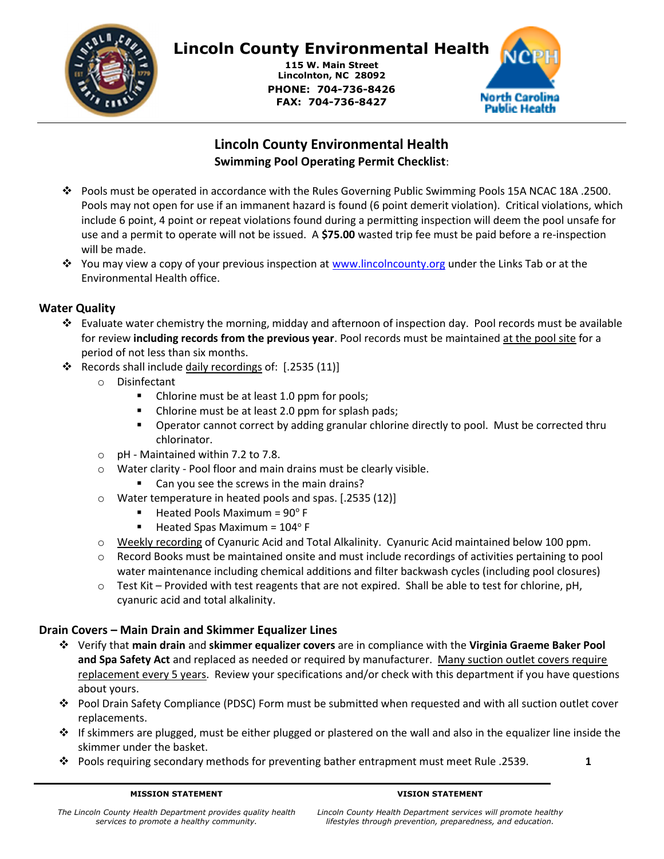

# Lincoln County Environmental Health

115 W. Main Street Lincolnton, NC 28092 PHONE: 704-736-8426 FAX: 704-736-8427



# Lincoln County Environmental Health Swimming Pool Operating Permit Checklist:

- Pools must be operated in accordance with the Rules Governing Public Swimming Pools 15A NCAC 18A .2500. Pools may not open for use if an immanent hazard is found (6 point demerit violation). Critical violations, which include 6 point, 4 point or repeat violations found during a permitting inspection will deem the pool unsafe for use and a permit to operate will not be issued. A **\$75.00** wasted trip fee must be paid before a re-inspection will be made.
- You may view a copy of your previous inspection at www.lincolncounty.org under the Links Tab or at the Environmental Health office.

# Water Quality

- $\clubsuit$  Evaluate water chemistry the morning, midday and afternoon of inspection day. Pool records must be available for review including records from the previous year. Pool records must be maintained at the pool site for a period of not less than six months.
- \* Records shall include daily recordings of: [.2535 (11)]
	- o Disinfectant
		- Chlorine must be at least 1.0 ppm for pools;
		- Chlorine must be at least 2.0 ppm for splash pads;
		- **Dearator cannot correct by adding granular chlorine directly to pool. Must be corrected thru** chlorinator.
	- o pH Maintained within 7.2 to 7.8.
	- o Water clarity Pool floor and main drains must be clearly visible.
		- Can you see the screws in the main drains?
	- o Water temperature in heated pools and spas. [.2535 (12)]
		- Heated Pools Maximum =  $90^{\circ}$  F
		- Heated Spas Maximum =  $104^{\circ}$  F
	- o Weekly recording of Cyanuric Acid and Total Alkalinity. Cyanuric Acid maintained below 100 ppm.
	- $\circ$  Record Books must be maintained onsite and must include recordings of activities pertaining to pool water maintenance including chemical additions and filter backwash cycles (including pool closures)
	- $\circ$  Test Kit Provided with test reagents that are not expired. Shall be able to test for chlorine, pH, cyanuric acid and total alkalinity.

# Drain Covers – Main Drain and Skimmer Equalizer Lines

- Verify that main drain and skimmer equalizer covers are in compliance with the Virginia Graeme Baker Pool and Spa Safety Act and replaced as needed or required by manufacturer. Many suction outlet covers require replacement every 5 years. Review your specifications and/or check with this department if you have questions about yours.
- Pool Drain Safety Compliance (PDSC) Form must be submitted when requested and with all suction outlet cover replacements.
- $\div$  If skimmers are plugged, must be either plugged or plastered on the wall and also in the equalizer line inside the skimmer under the basket.
- **•** Pools requiring secondary methods for preventing bather entrapment must meet Rule .2539. 1

#### VISION STATEMENT

Lincoln County Health Department services will promote healthy lifestyles through prevention, preparedness, and education.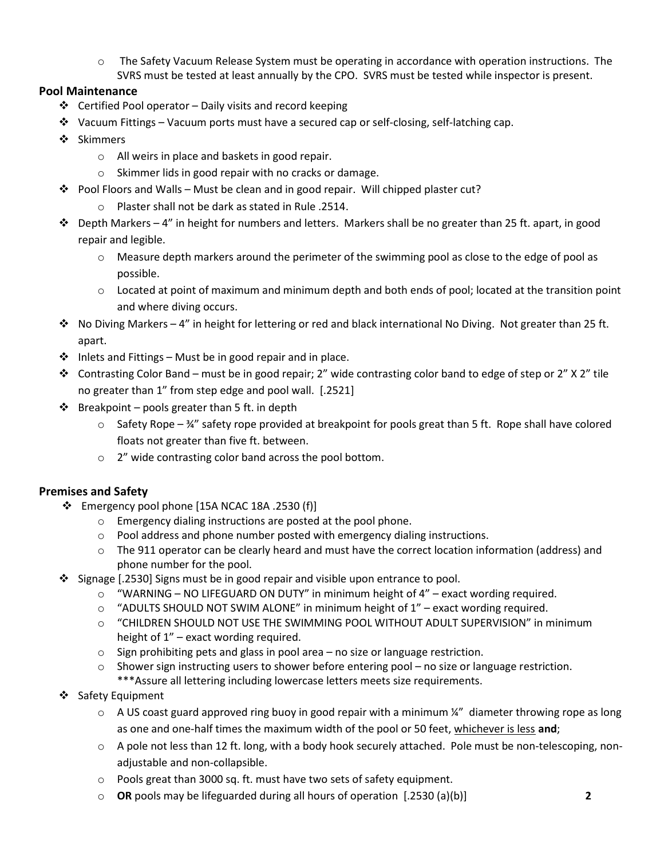$\circ$  The Safety Vacuum Release System must be operating in accordance with operation instructions. The SVRS must be tested at least annually by the CPO. SVRS must be tested while inspector is present.

# Pool Maintenance

- $\triangleleft$  Certified Pool operator Daily visits and record keeping
- $\bullet$  Vacuum Fittings Vacuum ports must have a secured cap or self-closing, self-latching cap.
- ❖ Skimmers
	- o All weirs in place and baskets in good repair.
	- o Skimmer lids in good repair with no cracks or damage.
- Pool Floors and Walls Must be clean and in good repair. Will chipped plaster cut?
	- o Plaster shall not be dark as stated in Rule .2514.
- $\dots$  Depth Markers 4" in height for numbers and letters. Markers shall be no greater than 25 ft. apart, in good repair and legible.
	- o Measure depth markers around the perimeter of the swimming pool as close to the edge of pool as possible.
	- $\circ$  Located at point of maximum and minimum depth and both ends of pool; located at the transition point and where diving occurs.
- $\cdot \cdot$  No Diving Markers 4" in height for lettering or red and black international No Diving. Not greater than 25 ft. apart.
- $\cdot \cdot$  Inlets and Fittings Must be in good repair and in place.
- ◆ Contrasting Color Band must be in good repair; 2" wide contrasting color band to edge of step or 2" X 2" tile no greater than 1" from step edge and pool wall. [.2521]
- $\cdot \cdot$  Breakpoint pools greater than 5 ft. in depth
	- $\circ$  Safety Rope  $\frac{3}{4}$ " safety rope provided at breakpoint for pools great than 5 ft. Rope shall have colored floats not greater than five ft. between.
	- o 2" wide contrasting color band across the pool bottom.

# Premises and Safety

- $\div$  Emergency pool phone [15A NCAC 18A .2530 (f)]
	- o Emergency dialing instructions are posted at the pool phone.
	- o Pool address and phone number posted with emergency dialing instructions.
	- $\circ$  The 911 operator can be clearly heard and must have the correct location information (address) and phone number for the pool.
- Signage [.2530] Signs must be in good repair and visible upon entrance to pool.
	- $\circ$  "WARNING NO LIFEGUARD ON DUTY" in minimum height of 4" exact wording required.
	- o "ADULTS SHOULD NOT SWIM ALONE" in minimum height of 1" exact wording required.
	- o "CHILDREN SHOULD NOT USE THE SWIMMING POOL WITHOUT ADULT SUPERVISION" in minimum height of 1" – exact wording required.
	- $\circ$  Sign prohibiting pets and glass in pool area no size or language restriction.
	- $\circ$  Shower sign instructing users to shower before entering pool no size or language restriction. \*\*\*Assure all lettering including lowercase letters meets size requirements.
- ❖ Safety Equipment
	- $\circ$  A US coast guard approved ring buoy in good repair with a minimum  $\frac{1}{4}$ " diameter throwing rope as long as one and one-half times the maximum width of the pool or 50 feet, whichever is less and;
	- o A pole not less than 12 ft. long, with a body hook securely attached. Pole must be non-telescoping, nonadjustable and non-collapsible.
	- o Pools great than 3000 sq. ft. must have two sets of safety equipment.
	- $\circ$  OR pools may be lifeguarded during all hours of operation  $[.2530 (a)(b)]$  2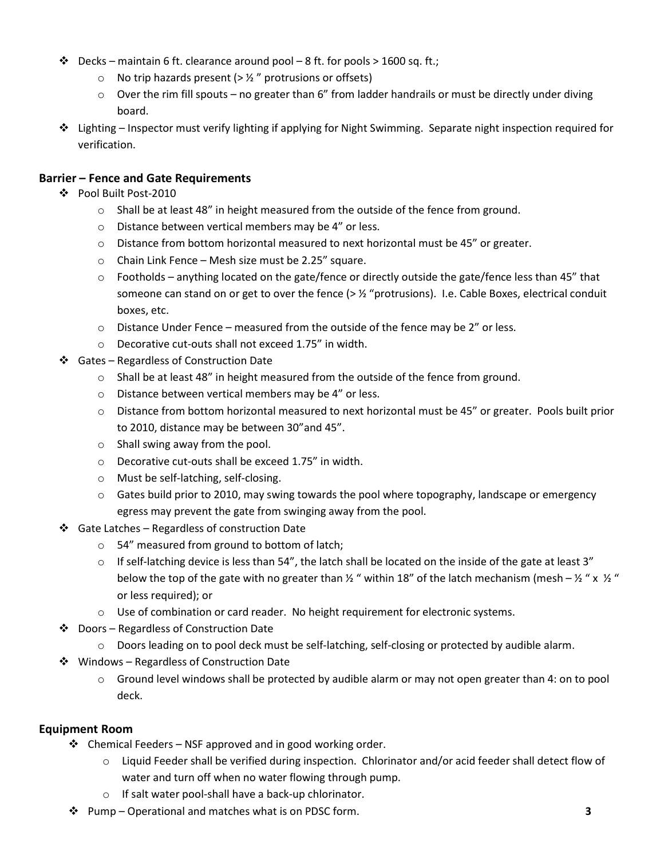- $\cdot \cdot \cdot$  Decks maintain 6 ft. clearance around pool 8 ft. for pools > 1600 sq. ft.;
	- $\circ$  No trip hazards present (>  $\frac{1}{2}$ " protrusions or offsets)
	- o Over the rim fill spouts no greater than 6" from ladder handrails or must be directly under diving board.
- $\cdot \cdot$  Lighting Inspector must verify lighting if applying for Night Swimming. Separate night inspection required for verification.

# Barrier – Fence and Gate Requirements

- Pool Built Post-2010
	- $\circ$  Shall be at least 48" in height measured from the outside of the fence from ground.
	- o Distance between vertical members may be 4" or less.
	- $\circ$  Distance from bottom horizontal measured to next horizontal must be 45" or greater.
	- o Chain Link Fence Mesh size must be 2.25" square.
	- $\circ$  Footholds anything located on the gate/fence or directly outside the gate/fence less than 45" that someone can stand on or get to over the fence ( $>$   $\frac{1}{2}$  "protrusions). I.e. Cable Boxes, electrical conduit boxes, etc.
	- $\circ$  Distance Under Fence measured from the outside of the fence may be 2" or less.
	- o Decorative cut-outs shall not exceed 1.75" in width.
- Gates Regardless of Construction Date
	- $\circ$  Shall be at least 48" in height measured from the outside of the fence from ground.
	- o Distance between vertical members may be 4" or less.
	- o Distance from bottom horizontal measured to next horizontal must be 45" or greater. Pools built prior to 2010, distance may be between 30"and 45".
	- o Shall swing away from the pool.
	- o Decorative cut-outs shall be exceed 1.75" in width.
	- o Must be self-latching, self-closing.
	- o Gates build prior to 2010, may swing towards the pool where topography, landscape or emergency egress may prevent the gate from swinging away from the pool.
- $\div$  Gate Latches Regardless of construction Date
	- o 54" measured from ground to bottom of latch;
	- $\circ$  If self-latching device is less than 54", the latch shall be located on the inside of the gate at least 3" below the top of the gate with no greater than  $\frac{1}{2}$  " within 18" of the latch mechanism (mesh –  $\frac{1}{2}$  " x  $\frac{1}{2}$  " or less required); or
	- $\circ$  Use of combination or card reader. No height requirement for electronic systems.
- ❖ Doors Regardless of Construction Date
	- o Doors leading on to pool deck must be self-latching, self-closing or protected by audible alarm.
- **❖** Windows Regardless of Construction Date
	- $\circ$  Ground level windows shall be protected by audible alarm or may not open greater than 4: on to pool deck.

#### Equipment Room

- $\div$  Chemical Feeders NSF approved and in good working order.
	- $\circ$  Liquid Feeder shall be verified during inspection. Chlorinator and/or acid feeder shall detect flow of water and turn off when no water flowing through pump.
	- o If salt water pool-shall have a back-up chlorinator.
- ◆ Pump Operational and matches what is on PDSC form. 3